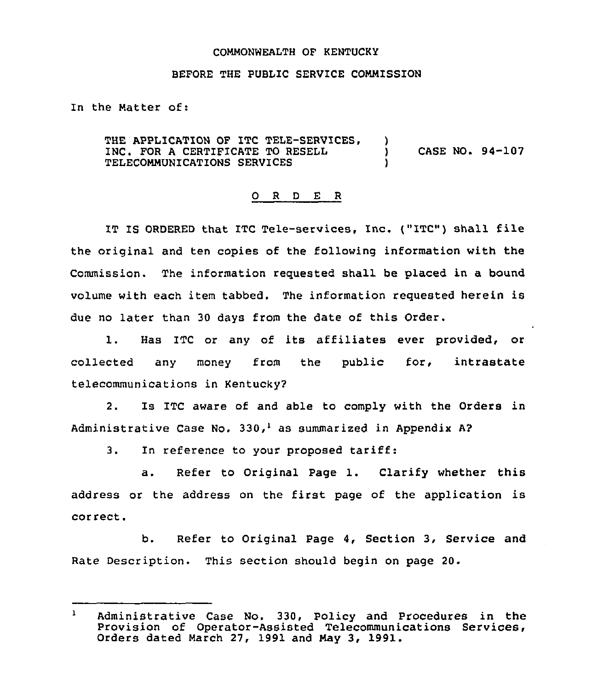## COMMONWEALTH OF KENTUCKY

## BEFORE THE PUBLIC SERVICE COMMISSION

In the Natter of:

THE APPLICATION OF ITC TELE-SERVICES, INC. FOR <sup>A</sup> CERTIFICATE TO RESELL ) CASE NO. 94-107 TELECOHHUNICATIONS SERVICES )

## 0 R <sup>D</sup> E R

IT IS ORDERED that ITC Tele-services, Inc. ("ITC") shall file the original and ten copies of the following information with the Commission. The information requested shall be placed in a bound volume with each item tabbed. The information requested herein is due no later than 30 days from the date of this Order.

1. Has ITC or any of its affiliates ever provided, or collected any money from the public for, intrastate telecommunications in Kentucky2

2. Is ITC aware of and able to comply with the Orders in Administrative Case No. 330,<sup>1</sup> as summarized in Appendix A?

3. In reference to your proposed tariff:

a. Refer to Original Page 1. Clarify whether this address or the address on the first page of the application is correct.

b. Refer to Original Page 4, Section 3, Service and Rate Description. This section should begin on page 20.

 $\mathbf{1}$ Administrative Case No. 330, Policy and Procedures in the Provision of Operator-Assisted Telecommunications Services, Orders dated March 27, 1991 and Hay 3, 1991.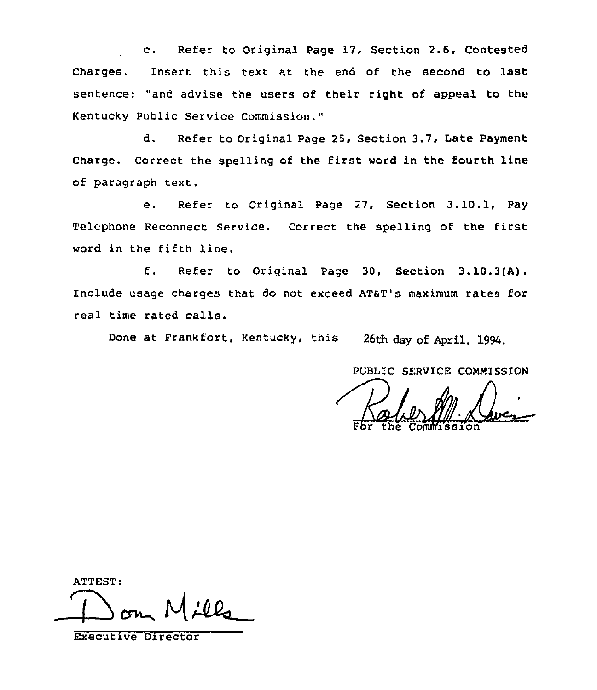c. Refer to Original Page 17, Section 2.6, Contested Charges. Insert this text at the end of the second to last sentence: "and advise the users of their right of appeal to the Kentucky Public Service Commission."

d. Refer to Original Page 25, Section 3.7, Late Payment Charge. Correct the spelling of the first word in the fourth line of paragraph text.

e. Refer to Original page 27, Section 3.10.1, Pay Telephone Reconnect Service. Correct the spelling of the first word in the fifth line.

f. Refer to Original Page 30, Section 3.10.3(A). Include usage charges that do not exceed ATaT's maximum rates for real time rated calls.

Done at Prankfort, Kentucky, this 26th day of April, 1994.

PUBLIC SERVICE COMMISSION

Fbr the Commissio

ATTEST:

Executive Director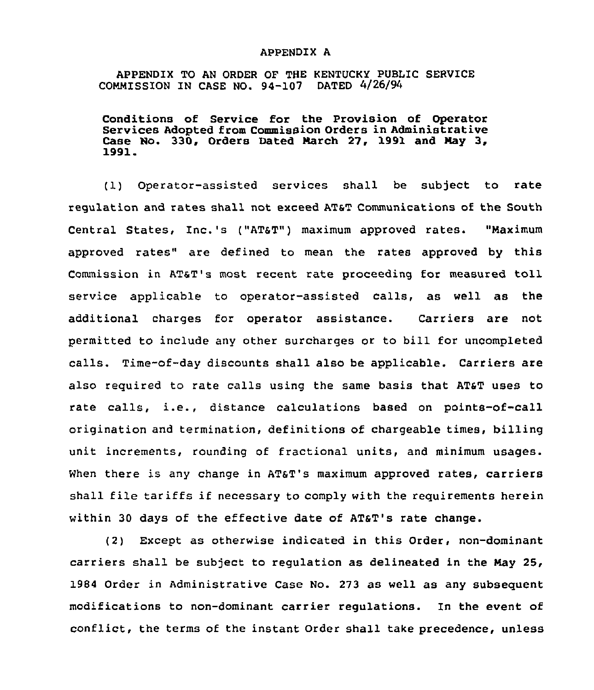## APPENDIX A

APPENDIX TO AN ORDER OF THE KENTUCKY PUBLIC SERVICE COMMISSION IN CASE NO. 94-107 DATED 4/26/94

Conditions of Service for the Provision of Operator Services Adopted from Commission Orders in Administrative Case No. 330, Orders Dated March 27, 1991 and May 3,<br>1991.

(1) Operator-assisted services shall be subject to rate regulation and rates shall not exceed AT5T Communications of the South Central States, Inc.'s ("AT&T") maximum approved rates. "Maximum approved rates" are defined to mean the rates approved by this Commission in AT&T's most recent rate proceeding for measured toll service applicable to operator-assisted calls, as well as the additional charges for operator assistance. Carriers are not permitted to include any other surcharges or to bill for uncompleted calls. Time-of-day discounts shall also be applicable. Carriers are also required to rate calls using the same basis that AT&T uses to rate calls, i.e., distance calculations based on points-of-call origination and termination, definitions of chargeable times, billing unit increments, rounding of fractional units, and minimum usages. When there is any change in AT&T's maximum approved rates, carriers shall file tariffs if necessary to comply with the requirements herein within 30 days of the effective date of AT&T's rate change.

(2) Except as otherwise indicated in this Order, non-dominant carriers shall be subject to regulation as delineated in the May 25, 1984 Order in Administrative Case No. 273 as well as any subsequent modifications to non-dominant carrier regulations. In the event of conflict, the terms of the instant Order shall take precedence, unless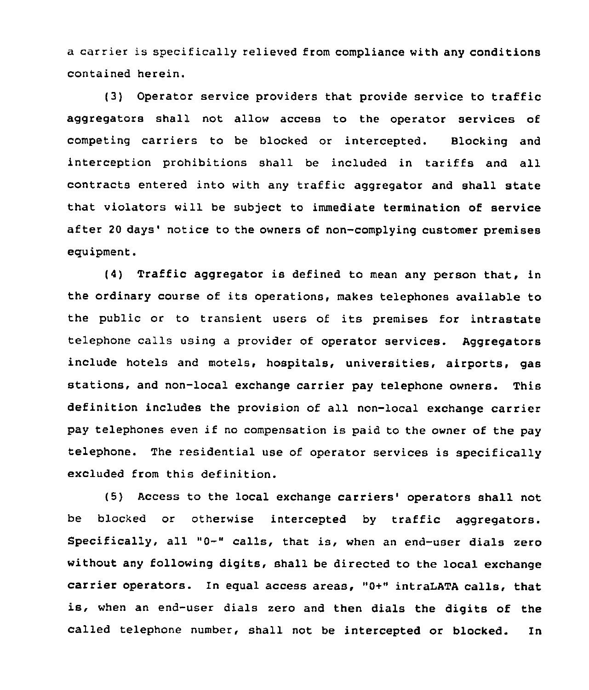a carrier is specifically relieved from compliance with any conditions contained herein.

(3) Operator service providers that provide service to traffic aggregators shall not allow access to the operator services of competing carriers to be blocked or intercepted. Blocking and interception prohibitions shall be included in tariffs and all contracts entered into with any traffic aggregator and shall state that violators will be subject to immediate termination of service after 20 days' notice to the owners of non-complying customer premises equipment.

(4) Traffic aggregator is defined to mean any person that, in the ordinary course of its operations, makes telephones available to the public or to transient users of its premises for intrastate telephone calls using <sup>a</sup> provider of operator services. Aggregators include hotels and motels, hospitals, universities, airports, gas stations, and non-local exchange carrier pay telephone owners. This definition includes the provision of all non-local exchange carrier pay telephones even if no compensation is paid to the owner of the pay telephone. The residential use of operator services is specifically excluded from this definition.

(5) Access to the local exchange carriers' operators shall not be blocked or otherwise intercepted by traffic aggregators. Specifically, all "0-" calls, that is, when an end-user dials zero without any following digits, shall be directed to the local exchange carrier operators. In equal access areas, "0+" intraLATA calls, that is, when an end-user dials zero and then dials the digits of the called telephone number, shall not be intercepted or blocked. In